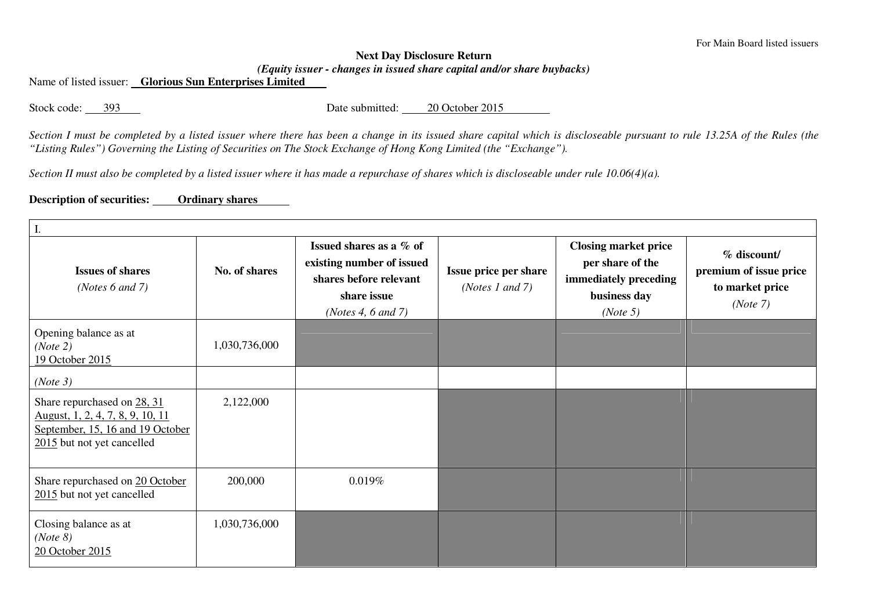## **Next Day Disclosure Return** *(Equity issuer - changes in issued share capital and/or share buybacks)*

Name of listed issuer: **Glorious Sun Enterprises Limited** 

Stock code: 393 Date submitted: 20 October 2015

*Section I must be completed by a listed issuer where there has been a change in its issued share capital which is discloseable pursuant to rule 13.25A of the Rules (the "Listing Rules") Governing the Listing of Securities on The Stock Exchange of Hong Kong Limited (the "Exchange").* 

*Section II must also be completed by a listed issuer where it has made a repurchase of shares which is discloseable under rule 10.06(4)(a).* 

## **Description of securities: Ordinary shares**

| I.                                                                                                                                |               |                                                                                                                     |                                                   |                                                                                                      |                                                                      |  |  |  |  |
|-----------------------------------------------------------------------------------------------------------------------------------|---------------|---------------------------------------------------------------------------------------------------------------------|---------------------------------------------------|------------------------------------------------------------------------------------------------------|----------------------------------------------------------------------|--|--|--|--|
| <b>Issues of shares</b><br>(Notes $6$ and $7$ )                                                                                   | No. of shares | Issued shares as a % of<br>existing number of issued<br>shares before relevant<br>share issue<br>(Notes 4, 6 and 7) | Issue price per share<br>( <i>Notes 1 and 7</i> ) | <b>Closing market price</b><br>per share of the<br>immediately preceding<br>business day<br>(Note 5) | % discount/<br>premium of issue price<br>to market price<br>(Note 7) |  |  |  |  |
| Opening balance as at<br>(Note 2)<br>19 October 2015                                                                              | 1,030,736,000 |                                                                                                                     |                                                   |                                                                                                      |                                                                      |  |  |  |  |
| (Note 3)                                                                                                                          |               |                                                                                                                     |                                                   |                                                                                                      |                                                                      |  |  |  |  |
| Share repurchased on 28, 31<br>August, 1, 2, 4, 7, 8, 9, 10, 11<br>September, 15, 16 and 19 October<br>2015 but not yet cancelled | 2,122,000     |                                                                                                                     |                                                   |                                                                                                      |                                                                      |  |  |  |  |
| Share repurchased on 20 October<br>2015 but not yet cancelled                                                                     | 200,000       | 0.019%                                                                                                              |                                                   |                                                                                                      |                                                                      |  |  |  |  |
| Closing balance as at<br>(Note 8)<br>20 October 2015                                                                              | 1,030,736,000 |                                                                                                                     |                                                   |                                                                                                      |                                                                      |  |  |  |  |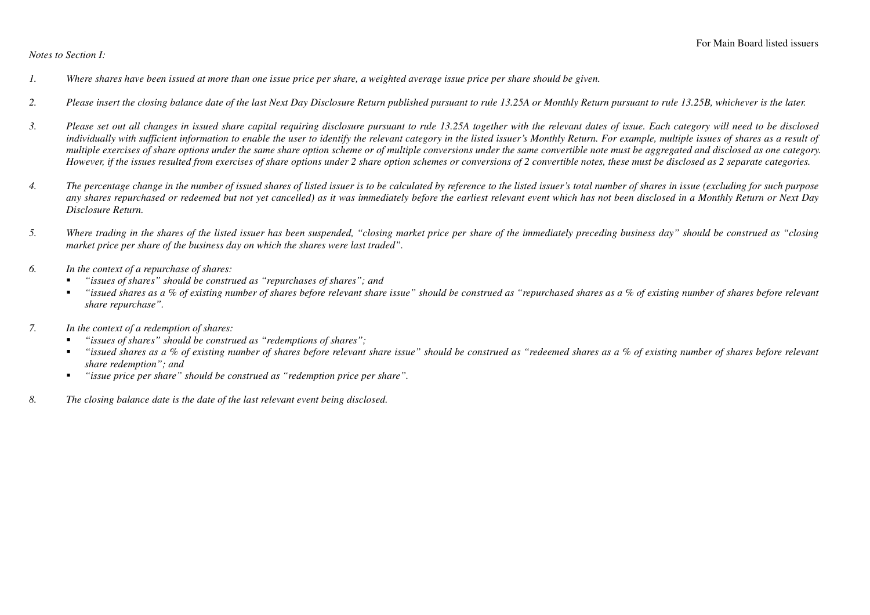*Notes to Section I:* 

- *1. Where shares have been issued at more than one issue price per share, a weighted average issue price per share should be given.*
- *2. Please insert the closing balance date of the last Next Day Disclosure Return published pursuant to rule 13.25A or Monthly Return pursuant to rule 13.25B, whichever is the later.*
- *3. Please set out all changes in issued share capital requiring disclosure pursuant to rule 13.25A together with the relevant dates of issue. Each category will need to be disclosed individually with sufficient information to enable the user to identify the relevant category in the listed issuer's Monthly Return. For example, multiple issues of shares as a result of multiple exercises of share options under the same share option scheme or of multiple conversions under the same convertible note must be aggregated and disclosed as one category. However, if the issues resulted from exercises of share options under 2 share option schemes or conversions of 2 convertible notes, these must be disclosed as 2 separate categories.*
- *4. The percentage change in the number of issued shares of listed issuer is to be calculated by reference to the listed issuer's total number of shares in issue (excluding for such purpose any shares repurchased or redeemed but not yet cancelled) as it was immediately before the earliest relevant event which has not been disclosed in a Monthly Return or Next Day Disclosure Return.*
- *5. Where trading in the shares of the listed issuer has been suspended, "closing market price per share of the immediately preceding business day" should be construed as "closing market price per share of the business day on which the shares were last traded".*
- *6. In the context of a repurchase of shares:* 
	- *"issues of shares" should be construed as "repurchases of shares"; and*
	- $\blacksquare$  *"issued shares as a % of existing number of shares before relevant share issue" should be construed as "repurchased shares as a % of existing number of shares before relevant share repurchase".*
- *7. In the context of a redemption of shares:* 
	- *"issues of shares" should be construed as "redemptions of shares";*
	- $\mathbf{m}$  ,  $\mathbf{m}$  *"issued shares as a % of existing number of shares before relevant share issue" should be construed as "redeemed shares as a % of existing number of shares before relevant share redemption"; and*
	- *"issue price per share" should be construed as "redemption price per share".*   $\blacksquare$
- *8. The closing balance date is the date of the last relevant event being disclosed.*